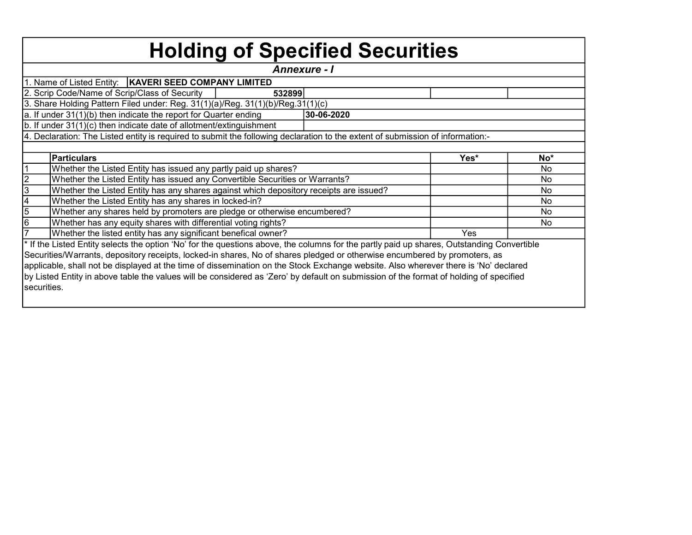|                    | <b>Holding of Specified Securities</b>                                                                                                     |            |      |           |
|--------------------|--------------------------------------------------------------------------------------------------------------------------------------------|------------|------|-----------|
|                    | <b>Annexure - I</b>                                                                                                                        |            |      |           |
|                    | 1. Name of Listed Entity:   KAVERI SEED COMPANY LIMITED                                                                                    |            |      |           |
|                    | 2. Scrip Code/Name of Scrip/Class of Security<br>532899                                                                                    |            |      |           |
|                    | 3. Share Holding Pattern Filed under: Reg. 31(1)(a)/Reg. 31(1)(b)/Reg.31(1)(c)                                                             |            |      |           |
|                    | a. If under 31(1)(b) then indicate the report for Quarter ending                                                                           | 30-06-2020 |      |           |
|                    | b. If under 31(1)(c) then indicate date of allotment/extinguishment                                                                        |            |      |           |
|                    | 4. Declaration: The Listed entity is required to submit the following declaration to the extent of submission of information:-             |            |      |           |
|                    |                                                                                                                                            |            |      |           |
|                    | <b>Particulars</b>                                                                                                                         |            | Yes* | No*       |
|                    | Whether the Listed Entity has issued any partly paid up shares?                                                                            |            |      | No        |
|                    | Whether the Listed Entity has issued any Convertible Securities or Warrants?                                                               |            |      | No        |
| $\frac{2}{3}$      | Whether the Listed Entity has any shares against which depository receipts are issued?                                                     |            |      | <b>No</b> |
|                    | Whether the Listed Entity has any shares in locked-in?                                                                                     |            |      | <b>No</b> |
| $\frac{4}{5}$<br>6 | Whether any shares held by promoters are pledge or otherwise encumbered?                                                                   |            |      | No.       |
|                    | Whether has any equity shares with differential voting rights?                                                                             |            |      | No.       |
| $\frac{1}{7}$      | Whether the listed entity has any significant benefical owner?                                                                             |            | Yes  |           |
|                    | * If the Listed Entity selects the option 'No' for the questions above, the columns for the partly paid up shares, Outstanding Convertible |            |      |           |
|                    | Securities/Warrants, depository receipts, locked-in shares, No of shares pledged or otherwise encumbered by promoters, as                  |            |      |           |
|                    | applicable, shall not be displayed at the time of dissemination on the Stock Exchange website. Also wherever there is 'No' declared        |            |      |           |
|                    | by Listed Entity in above table the values will be considered as 'Zero' by default on submission of the format of holding of specified     |            |      |           |
| securities.        |                                                                                                                                            |            |      |           |
|                    |                                                                                                                                            |            |      |           |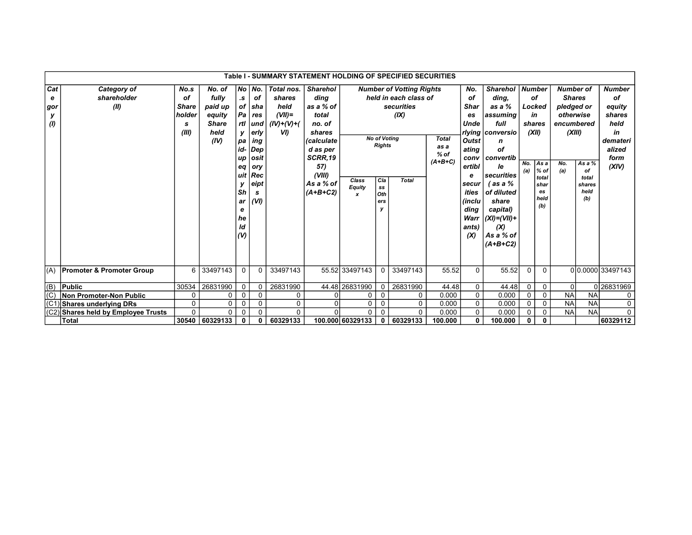|                             |                                      |                                                    |                                                                      |                                                                                     |                                                                                                                             | Table I - SUMMARY STATEMENT HOLDING OF SPECIFIED SECURITIES        |                                                                                                                                                    |                             |                                                                                                                                    |                                                                                                |                                             |                                                                                                                                                    |                                                                                                                                                                                                                                |                                      |                                                                                      |                                                                                                    |                                                  |                                                                                              |
|-----------------------------|--------------------------------------|----------------------------------------------------|----------------------------------------------------------------------|-------------------------------------------------------------------------------------|-----------------------------------------------------------------------------------------------------------------------------|--------------------------------------------------------------------|----------------------------------------------------------------------------------------------------------------------------------------------------|-----------------------------|------------------------------------------------------------------------------------------------------------------------------------|------------------------------------------------------------------------------------------------|---------------------------------------------|----------------------------------------------------------------------------------------------------------------------------------------------------|--------------------------------------------------------------------------------------------------------------------------------------------------------------------------------------------------------------------------------|--------------------------------------|--------------------------------------------------------------------------------------|----------------------------------------------------------------------------------------------------|--------------------------------------------------|----------------------------------------------------------------------------------------------|
| Cat<br>е<br>gor<br>У<br>(1) | Category of<br>shareholder<br>(II)   | No.s<br>of<br><b>Share</b><br>holder<br>s<br>(III) | No. of<br>fully<br>paid up<br>equity<br><b>Share</b><br>held<br>(IV) | $\cdot$ s<br><b>V</b><br>pa<br>id-l<br>up<br>eq<br>Sh<br>ar<br>е<br>he<br>ld<br>(V) | No No.<br><b>of</b><br>of sha<br>$Pa$ $res$<br>rtl und<br>erly<br>ing<br>Dep<br>osit<br>ory<br>uit Rec<br>eipt<br>s<br>(VI) | Total nos.<br>shares<br>held<br>$(VII)$ =<br>$(IV)+(V)+(V)$<br>VI) | <b>Sharehol</b><br>ding<br>as a % of<br>total<br>no. of<br>shares<br>(calculate<br>d as per<br>SCRR.19<br>57)<br>(VIII)<br>As a % of<br>$(A+B+C2)$ | Class<br><b>Equity</b><br>x | <b>No of Voting</b><br><b>Rights</b><br>  <sub>Ca</sub><br>$\textcolor{red}{\textbf{s}}\textcolor{blue}{\textbf{s}}$<br>Oth<br>ers | <b>Number of Votting Rights</b><br>held in each class of<br>securities<br>(IX)<br><b>Total</b> | <b>Total</b><br>as a<br>$%$ of<br>$(A+B+C)$ | No.<br>of<br><b>Shar</b><br>es<br>Unde<br><b>Outst</b><br>ating<br>conv<br>ertibl<br>е<br>secur<br>ities<br>(inclu<br>ding<br>Warr<br>ants)<br>(X) | <b>Sharehol</b><br>ding.<br>as a %<br>assuming<br>full<br>rlying   conversio<br>n<br>of<br>  convertib<br>le<br>  securities<br>(as a %<br>of diluted<br>share<br>capital)<br>$ (XI)=(VII)+$<br>(X)<br>As a % of<br>$(A+B+C2)$ | <b>Number</b><br>(XII)<br>No.<br>(a) | οf<br>Locked<br>in<br>shares<br>As a<br>$%$ of<br>total<br>shar<br>es<br>held<br>(b) | <b>Number of</b><br><b>Shares</b><br>pledged or<br>otherwise<br>encumbered<br>(XIII)<br>No.<br>(a) | As a $%$<br>of<br>total<br>shares<br>held<br>(b) | <b>Number</b><br>οf<br>equity<br>shares<br>held<br>in<br>demateri<br>alized<br>form<br>(XIV) |
| (A)                         | <b>Promoter &amp; Promoter Group</b> | 6                                                  | 33497143                                                             | 0                                                                                   | $\Omega$                                                                                                                    | 33497143                                                           |                                                                                                                                                    | 55.52 33497143              | $\Omega$                                                                                                                           | 33497143                                                                                       | 55.52                                       | $\Omega$                                                                                                                                           | 55.52                                                                                                                                                                                                                          | $\Omega$                             | $\Omega$                                                                             |                                                                                                    |                                                  | 00.0000 33497143                                                                             |
| (B)                         | <b>Public</b>                        | 30534                                              | 26831990                                                             | $\mathbf 0$                                                                         | 0                                                                                                                           | 26831990                                                           |                                                                                                                                                    | 44.48 26831990              | 0                                                                                                                                  | 26831990                                                                                       | 44.48                                       | 0                                                                                                                                                  | 44.48                                                                                                                                                                                                                          | $\mathbf 0$                          | $\mathbf 0$                                                                          | $\Omega$                                                                                           |                                                  | 0 26831969                                                                                   |
| (C)                         | <b>Non Promoter-Non Public</b>       | 0                                                  | 0                                                                    | 0                                                                                   | $\Omega$                                                                                                                    | 0                                                                  |                                                                                                                                                    | 0                           | $\Omega$                                                                                                                           | $\Omega$                                                                                       | 0.000                                       | 0                                                                                                                                                  | 0.000                                                                                                                                                                                                                          | $\Omega$                             | $\mathbf 0$                                                                          | <b>NA</b>                                                                                          | <b>NA</b>                                        | 0                                                                                            |
|                             | (C1) Shares underlying DRs           | $\mathbf 0$                                        | $\mathbf 0$                                                          | 0                                                                                   | $\mathbf 0$                                                                                                                 | 0                                                                  |                                                                                                                                                    | 0                           | 0                                                                                                                                  | 0                                                                                              | 0.000                                       | 0                                                                                                                                                  | 0.000                                                                                                                                                                                                                          | $\mathbf 0$                          | $\mathbf 0$                                                                          | <b>NA</b>                                                                                          | <b>NA</b>                                        | 0                                                                                            |
|                             | (C2) Shares held by Employee Trusts  | U                                                  | $\Omega$                                                             |                                                                                     | $\Omega$                                                                                                                    | $\Omega$                                                           |                                                                                                                                                    | 0                           | $\Omega$                                                                                                                           | $\Omega$                                                                                       | 0.000                                       | 0                                                                                                                                                  | 0.000                                                                                                                                                                                                                          | 0                                    | 0                                                                                    | <b>NA</b>                                                                                          | <b>NA</b>                                        | $\mathbf{0}$                                                                                 |
|                             | <b>Total</b>                         | 30540                                              | 60329133                                                             | $\mathbf{0}$                                                                        | $\mathbf{0}$                                                                                                                | 60329133                                                           |                                                                                                                                                    | 100.000 60329133            | $\mathbf 0$                                                                                                                        | 60329133                                                                                       | 100.000                                     | 0                                                                                                                                                  | 100.000                                                                                                                                                                                                                        | $\mathbf{0}$                         | $\mathbf{0}$                                                                         |                                                                                                    |                                                  | 60329112                                                                                     |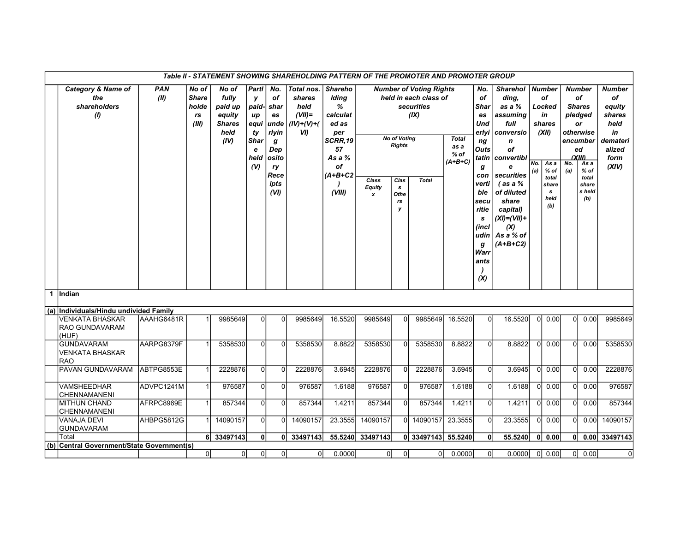|              |                                                             |                    |                                               |                                                                      |                                                                            |                                                                                             |                                                                    |                                                                                                                    | Table II - STATEMENT SHOWING SHAREHOLDING PATTERN OF THE PROMOTER AND PROMOTER GROUP |                                                                      |                                                                                               |                                             |                                                                                                                                             |                                                                                                                                                                                                                                   |            |                                                                                                                |            |                                                                                                                                                            |                                                                                              |
|--------------|-------------------------------------------------------------|--------------------|-----------------------------------------------|----------------------------------------------------------------------|----------------------------------------------------------------------------|---------------------------------------------------------------------------------------------|--------------------------------------------------------------------|--------------------------------------------------------------------------------------------------------------------|--------------------------------------------------------------------------------------|----------------------------------------------------------------------|-----------------------------------------------------------------------------------------------|---------------------------------------------|---------------------------------------------------------------------------------------------------------------------------------------------|-----------------------------------------------------------------------------------------------------------------------------------------------------------------------------------------------------------------------------------|------------|----------------------------------------------------------------------------------------------------------------|------------|------------------------------------------------------------------------------------------------------------------------------------------------------------|----------------------------------------------------------------------------------------------|
|              | <b>Category &amp; Name of</b><br>the<br>shareholders<br>(1) | <b>PAN</b><br>(II) | No of<br><b>Share</b><br>holde<br>rs<br>(III) | No of<br>fully<br>paid up<br>equity<br><b>Shares</b><br>held<br>(IV) | Partl<br>y<br>paid-<br>up<br>equi<br>ty<br><b>Shar</b><br>e<br>held<br>(V) | No.<br>of<br>shar<br>es<br>unde<br>rlyin<br>g<br>Dep<br>osito<br>ry<br>Rece<br>ipts<br>(VI) | Total nos.<br>shares<br>held<br>$(VII)$ =<br>$(IV)+(V)+(V)$<br>VI) | <b>Shareho</b><br>Iding<br>%<br>calculat<br>ed as<br>per<br>SCRR,19<br>57<br>As a $%$<br>οf<br>$(A+B+C2$<br>(VIII) | Class<br><b>Equity</b><br>$\boldsymbol{x}$                                           | <b>No of Voting</b><br><b>Rights</b><br>Clas<br>s<br>Othe<br>rs<br>У | <b>Number of Voting Rights</b><br>held in each class of<br>securities<br>(IX)<br><b>Total</b> | <b>Total</b><br>as a<br>$%$ of<br>$(A+B+C)$ | No.<br>οf<br>Shar<br>es<br>Und<br>ng<br>Outs<br>g<br>con<br>verti<br>ble<br>secu<br>ritie<br>s<br>(incl<br>udin<br>g<br>Warr<br>ants<br>(X) | <b>Sharehol</b><br>ding,<br>as a %<br>assuming<br>full<br>erlyi conversio<br>n<br>οf<br>tatin convertibl<br>e<br>securities<br>$($ as a $%$<br>of diluted<br>share<br>capital)<br>$(XI)=(VII)+$<br>(X)<br>As a % of<br>$(A+B+C2)$ | No.<br>(a) | <b>Number</b><br>of<br>Locked<br>in<br>shares<br>(XII)<br>As a<br>$%$ of<br>total<br>share<br>s<br>held<br>(b) | No.<br>(a) | <b>Number</b><br>of<br><b>Shares</b><br>pledged<br><b>or</b><br>otherwise<br>encumber<br>ed<br>(XIII)<br>As a<br>$%$ of<br>total<br>share<br>s held<br>(b) | <b>Number</b><br>of<br>equity<br>shares<br>held<br>in<br>demateri<br>alized<br>form<br>(XIV) |
| $\mathbf{1}$ | lIndian                                                     |                    |                                               |                                                                      |                                                                            |                                                                                             |                                                                    |                                                                                                                    |                                                                                      |                                                                      |                                                                                               |                                             |                                                                                                                                             |                                                                                                                                                                                                                                   |            |                                                                                                                |            |                                                                                                                                                            |                                                                                              |
|              | (a) Individuals/Hindu undivided Family                      |                    |                                               |                                                                      |                                                                            |                                                                                             |                                                                    |                                                                                                                    |                                                                                      |                                                                      |                                                                                               |                                             |                                                                                                                                             |                                                                                                                                                                                                                                   |            |                                                                                                                |            |                                                                                                                                                            |                                                                                              |
|              | <b>VENKATA BHASKAR</b><br><b>RAO GUNDAVARAM</b><br>(HUF)    | AAAHG6481R         |                                               | 9985649                                                              | $\Omega$                                                                   | $\Omega$                                                                                    | 9985649                                                            | 16.5520                                                                                                            | 9985649                                                                              | 0                                                                    | 9985649                                                                                       | 16.5520                                     | $\overline{0}$                                                                                                                              | 16.5520                                                                                                                                                                                                                           |            | $ 0 $ 0.00                                                                                                     | 0l         | 0.00                                                                                                                                                       | 9985649                                                                                      |
|              | <b>GUNDAVARAM</b><br><b>VENKATA BHASKAR</b><br><b>RAO</b>   | AARPG8379F         | $\mathbf{1}$                                  | 5358530                                                              | $\Omega$                                                                   | $\Omega$                                                                                    | 5358530                                                            | 8.8822                                                                                                             | 5358530                                                                              | $\Omega$                                                             | 5358530                                                                                       | 8.8822                                      | $\Omega$                                                                                                                                    | 8.8822                                                                                                                                                                                                                            | $\Omega$   | 0.00                                                                                                           | $\Omega$   | 0.00                                                                                                                                                       | 5358530                                                                                      |
|              | PAVAN GUNDAVARAM                                            | ABTPG8553E         | 1                                             | 2228876                                                              | $\overline{0}$                                                             | $\Omega$                                                                                    | 2228876                                                            | 3.6945                                                                                                             | 2228876                                                                              | $\Omega$                                                             | 2228876                                                                                       | 3.6945                                      | $\mathbf 0$                                                                                                                                 | 3.6945                                                                                                                                                                                                                            | 0I         | 0.00                                                                                                           | $\Omega$   | 0.00                                                                                                                                                       | 2228876                                                                                      |
|              | <b>VAMSHEEDHAR</b><br><b>CHENNAMANENI</b>                   | ADVPC1241M         | 1                                             | 976587                                                               | $\overline{0}$                                                             | $\Omega$                                                                                    | 976587                                                             | 1.6188                                                                                                             | 976587                                                                               | $\Omega$                                                             | 976587                                                                                        | 1.6188                                      | $\mathbf 0$                                                                                                                                 | 1.6188                                                                                                                                                                                                                            |            | $ 0 $ 0.00                                                                                                     | 0l         | 0.00                                                                                                                                                       | 976587                                                                                       |
|              | <b>MITHUN CHAND</b><br>CHENNAMANENI                         | AFRPC8969E         | $\mathbf{1}$                                  | 857344                                                               | $\overline{0}$                                                             | $\mathbf 0$                                                                                 | 857344                                                             | 1.4211                                                                                                             | 857344                                                                               | $\Omega$                                                             | 857344                                                                                        | 1.4211                                      | $\overline{0}$                                                                                                                              | 1.4211                                                                                                                                                                                                                            | 0l         | 0.00                                                                                                           | $\Omega$   | 0.00                                                                                                                                                       | 857344                                                                                       |
|              | VANAJA DEVI<br><b>GUNDAVARAM</b>                            | AHBPG5812G         |                                               | 14090157                                                             | $\mathbf 0$                                                                | $\Omega$                                                                                    | 14090157                                                           | 23.3555                                                                                                            | 14090157                                                                             | ΩL                                                                   | 14090157                                                                                      | 23.3555                                     | 0                                                                                                                                           | 23.3555                                                                                                                                                                                                                           |            | $ 0 $ 0.00                                                                                                     | ΩI         | 0.00                                                                                                                                                       | 14090157                                                                                     |
|              | Total                                                       |                    |                                               | 6 33497143                                                           | 0                                                                          |                                                                                             | 0 33497143                                                         |                                                                                                                    | 55.5240 33497143                                                                     |                                                                      | 0 33497143 55.5240                                                                            |                                             | $\mathbf{0}$                                                                                                                                | 55.5240                                                                                                                                                                                                                           | 0l         | 0.00                                                                                                           | 0          |                                                                                                                                                            | 0.00 33497143                                                                                |
| (b)          | Central Government/State Government(s)                      |                    |                                               |                                                                      |                                                                            |                                                                                             |                                                                    |                                                                                                                    |                                                                                      |                                                                      |                                                                                               |                                             |                                                                                                                                             |                                                                                                                                                                                                                                   |            |                                                                                                                |            |                                                                                                                                                            |                                                                                              |
|              |                                                             |                    | 0                                             | 0                                                                    | $\overline{0}$                                                             | $\overline{0}$                                                                              | 0l                                                                 | 0.0000                                                                                                             | 0                                                                                    | 0l                                                                   | $\overline{0}$                                                                                | 0.0000                                      | $\overline{0}$                                                                                                                              | 0.0000                                                                                                                                                                                                                            |            | $ 0 $ 0.00                                                                                                     | 0          | 0.00                                                                                                                                                       | $\mathbf 0$                                                                                  |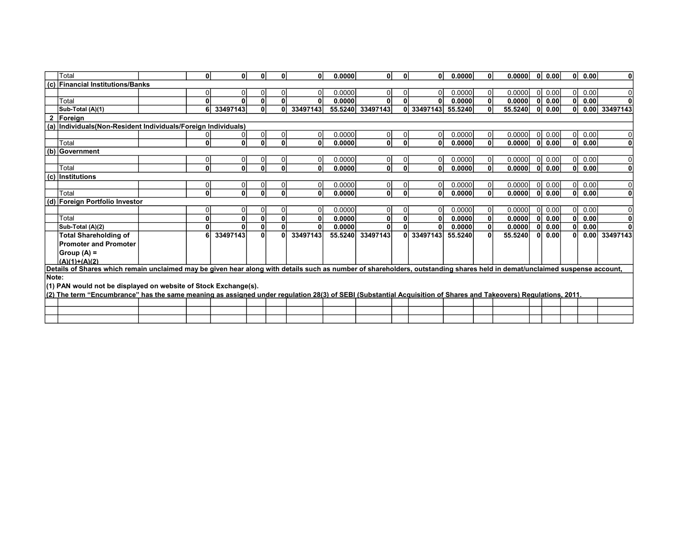|              | Total                                                                                                                                                                      | 0l             | O۱           | 0            | $\mathbf{0}$   | ΩI       | 0.0000  | $\mathbf{0}$   | $\mathbf{0}$ | 0l             | 0.0000  | 0              | 0.0000  | 0l           | 0.00 | 01  | 0.00 | $\mathbf 0$   |
|--------------|----------------------------------------------------------------------------------------------------------------------------------------------------------------------------|----------------|--------------|--------------|----------------|----------|---------|----------------|--------------|----------------|---------|----------------|---------|--------------|------|-----|------|---------------|
| (c)          | Financial Institutions/Banks                                                                                                                                               |                |              |              |                |          |         |                |              |                |         |                |         |              |      |     |      |               |
|              |                                                                                                                                                                            | $\overline{0}$ |              | 0            | $\overline{0}$ | 01       | 0.0000  | 0              |              | 0              | 0.0000  | 0              | 0.0000  | <sup>0</sup> | 0.00 | -01 | 0.00 | 0             |
|              | Total                                                                                                                                                                      | $\mathbf{0}$   |              | 0            | $\mathbf{0}$   | n١       | 0.0000  | 0              |              | 0              | 0.0000  | 0              | 0.0000  |              | 0.00 | 0   | 0.00 |               |
|              | Sub-Total (A)(1)                                                                                                                                                           | 6              | 33497143     | $\mathbf{0}$ | 0              | 33497143 | 55.5240 | 33497143       |              | 0 33497143     | 55.5240 | 0              | 55.5240 | 0l           | 0.00 | ΩI  |      | 0.00 33497143 |
| $\mathbf{2}$ | Foreign                                                                                                                                                                    |                |              |              |                |          |         |                |              |                |         |                |         |              |      |     |      |               |
|              | (a) Individuals (Non-Resident Individuals/Foreign Individuals)                                                                                                             |                |              |              |                |          |         |                |              |                |         |                |         |              |      |     |      |               |
|              |                                                                                                                                                                            |                |              |              | $\overline{0}$ | Οl       | 0.0000  | 0              |              | 0              | 0.0000  | $\overline{0}$ | 0.0000  | $\Omega$     | 0.00 | 01  | 0.00 |               |
|              | Total                                                                                                                                                                      | 0              | 0            | $\mathbf{0}$ | $\mathbf{0}$   | 0l       | 0.0000  | $\mathbf{0}$   | $\mathbf{0}$ | $\mathbf{0}$   | 0.0000  | $\mathbf{0}$   | 0.0000  | $\mathbf{0}$ | 0.00 | 0   | 0.00 | $\mathbf 0$   |
|              | $(b)$ Government                                                                                                                                                           |                |              |              |                |          |         |                |              |                |         |                |         |              |      |     |      |               |
|              |                                                                                                                                                                            | $\Omega$       | 0            | 0            | 0              | 01       | 0.0000  | $\overline{0}$ |              | $\overline{0}$ | 0.0000  | $\overline{0}$ | 0.0000  | ΩI           | 0.00 | 01  | 0.00 |               |
|              | Total                                                                                                                                                                      | 0              | $\mathbf{0}$ | $\mathbf{0}$ | $\mathbf{0}$   | 0l       | 0.0000  | $\mathbf{0}$   | 0            | 0              | 0.0000  | 0              | 0.0000  | $\Omega$     | 0.00 | 0l  | 0.00 | $\mathbf 0$   |
|              | (c) Institutions                                                                                                                                                           |                |              |              |                |          |         |                |              |                |         |                |         |              |      |     |      |               |
|              |                                                                                                                                                                            | $\overline{0}$ | 0            | 0            | $\overline{0}$ | 0I       | 0.0000  | $\Omega$       |              | $\overline{0}$ | 0.0000  | 0              | 0.0000  | $\Omega$     | 0.00 | ΟI  | 0.00 | 0             |
|              | Total                                                                                                                                                                      | 0              | $\Omega$     | $\bf{0}$     | $\mathbf{0}$   | 0l       | 0.0000  | $\mathbf{0}$   | n            | 0              | 0.0000  | 0              | 0.0000  | $\mathbf{0}$ | 0.00 | 0l  | 0.00 | 0             |
|              | (d) Foreign Portfolio Investor                                                                                                                                             |                |              |              |                |          |         |                |              |                |         |                |         |              |      |     |      |               |
|              |                                                                                                                                                                            | $\overline{0}$ | 0            | $\Omega$     | 0              | 01       | 0.0000  | 0              |              | 0              | 0.0000  | 0              | 0.0000  | $\Omega$     | 0.00 | 01  | 0.00 | $\Omega$      |
|              | Total                                                                                                                                                                      | 0              | 0            | $\mathbf{0}$ | $\mathbf{0}$   | 0        | 0.0000  | $\mathbf{0}$   |              | 0              | 0.0000  | $\mathbf{0}$   | 0.0000  | 0            | 0.00 | 0l  | 0.00 | $\mathbf 0$   |
|              | Sub-Total (A)(2)                                                                                                                                                           | $\mathbf{0}$   |              | $\mathbf{0}$ | $\mathbf{0}$   | O١       | 0.0000  | 0              |              | $\mathbf{0}$   | 0.0000  | $\mathbf{0}$   | 0.0000  | 0            | 0.00 | 0   | 0.00 |               |
|              | <b>Total Shareholding of</b>                                                                                                                                               | 6              | 33497143     | $\mathbf{0}$ | $\mathbf{0}$   | 33497143 | 55.5240 | 33497143       |              | 0 33497143     | 55.5240 | 0              | 55.5240 | 0            | 0.00 | 0   | 0.00 | 33497143      |
|              | <b>Promoter and Promoter</b>                                                                                                                                               |                |              |              |                |          |         |                |              |                |         |                |         |              |      |     |      |               |
|              | Group (A) =                                                                                                                                                                |                |              |              |                |          |         |                |              |                |         |                |         |              |      |     |      |               |
|              | $(A)(1)+(A)(2)$                                                                                                                                                            |                |              |              |                |          |         |                |              |                |         |                |         |              |      |     |      |               |
|              | Details of Shares which remain unclaimed may be given hear along with details such as number of shareholders, outstanding shares held in demat/unclaimed suspense account, |                |              |              |                |          |         |                |              |                |         |                |         |              |      |     |      |               |
| Note:        |                                                                                                                                                                            |                |              |              |                |          |         |                |              |                |         |                |         |              |      |     |      |               |
|              | (1) PAN would not be displayed on website of Stock Exchange(s).                                                                                                            |                |              |              |                |          |         |                |              |                |         |                |         |              |      |     |      |               |
|              | (2) The term "Encumbrance" has the same meaning as assigned under regulation 28(3) of SEBI (Substantial Acquisition of Shares and Takeovers) Regulations, 2011.            |                |              |              |                |          |         |                |              |                |         |                |         |              |      |     |      |               |
|              |                                                                                                                                                                            |                |              |              |                |          |         |                |              |                |         |                |         |              |      |     |      |               |
|              |                                                                                                                                                                            |                |              |              |                |          |         |                |              |                |         |                |         |              |      |     |      |               |
|              |                                                                                                                                                                            |                |              |              |                |          |         |                |              |                |         |                |         |              |      |     |      |               |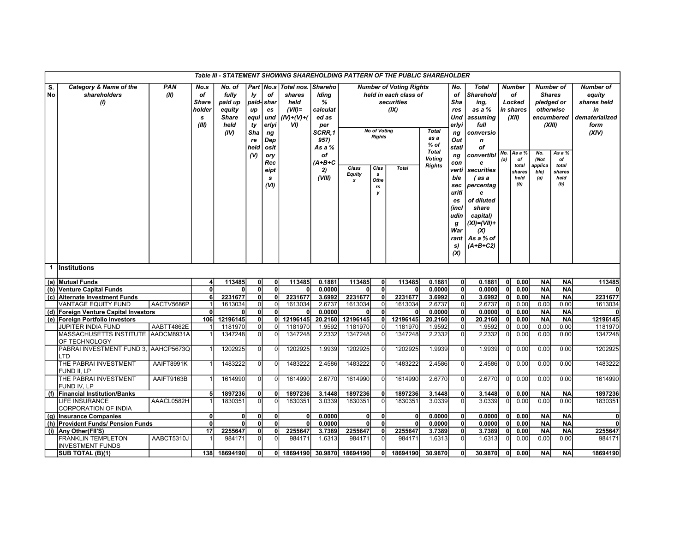|                                        |                                                       |                    |                                                    |                                                                      |                                                       |                                                                                                                |                                                                    |                                                                                                                      |                                            |                                                                      | Table III - STATEMENT SHOWING SHAREHOLDING PATTERN OF THE PUBLIC SHAREHOLDER                  |                                                                                |                                                                                                                                                                    |                                                                                                                                                                                                                                                             |                |                                                                                                       |                                                                                                                 |                                                              |                                                                             |
|----------------------------------------|-------------------------------------------------------|--------------------|----------------------------------------------------|----------------------------------------------------------------------|-------------------------------------------------------|----------------------------------------------------------------------------------------------------------------|--------------------------------------------------------------------|----------------------------------------------------------------------------------------------------------------------|--------------------------------------------|----------------------------------------------------------------------|-----------------------------------------------------------------------------------------------|--------------------------------------------------------------------------------|--------------------------------------------------------------------------------------------------------------------------------------------------------------------|-------------------------------------------------------------------------------------------------------------------------------------------------------------------------------------------------------------------------------------------------------------|----------------|-------------------------------------------------------------------------------------------------------|-----------------------------------------------------------------------------------------------------------------|--------------------------------------------------------------|-----------------------------------------------------------------------------|
| $\overline{\mathbf{s}}$ .<br><b>No</b> | Category & Name of the<br>shareholders<br>(1)         | <b>PAN</b><br>(II) | No.s<br>of<br><b>Share</b><br>holder<br>s<br>(III) | No. of<br>fully<br>paid up<br>equity<br><b>Share</b><br>held<br>(IV) | Iy<br>up<br>equi<br>ty<br>Sha<br>re<br>held<br>$($ V) | Part   No.s<br>оf<br>paid-  shar<br>es<br>und<br>erlyi<br>ng<br>Dep<br>osit<br>ory<br>Rec<br>eipt<br>s<br>(VI) | Total nos.<br>shares<br>held<br>$(VII)$ =<br>$(IV)+(V)+(V)$<br>VI) | <b>Shareho</b><br>Iding<br>%<br>calculat<br>ed as<br>per<br>SCRR.1<br>957)<br>As a %<br>оf<br>(A+B+C<br>2)<br>(VIII) | Class<br><b>Equity</b><br>$\boldsymbol{x}$ | <b>No of Voting</b><br><b>Rights</b><br>Clas<br>s<br>Othe<br>rs<br>y | <b>Number of Voting Rights</b><br>held in each class of<br>securities<br>(IX)<br><b>Total</b> | <b>Total</b><br>as a<br>% of<br><b>Total</b><br><b>Voting</b><br><b>Rights</b> | No.<br>of<br>Sha<br>res<br>Und<br>erlyi<br>ng<br>Out<br>stati<br>ng<br>con<br>verti<br>ble<br>sec<br>uriti<br>es<br>(incl<br>udin<br>g<br>War<br>rant<br>s)<br>(X) | <b>Total</b><br><b>Sharehold</b><br>ing,<br>as a %<br>assuming<br>full<br>conversio<br>$\mathbf n$<br>οf<br>convertibl<br>e<br>securities<br>(as a<br>percentag<br>e<br>of diluted<br>share<br>capital)<br>$(XI)= (VII)+$<br>(X)<br>As a % of<br>$(A+B+C2)$ | No<br>(a)      | <b>Number</b><br>оf<br>Locked<br>in shares<br>(XII)<br>As a %<br>оf<br>total<br>shares<br>held<br>(b) | <b>Number of</b><br><b>Shares</b><br>pledged or<br>otherwise<br>(XIII)<br>No.<br>(Not<br>applica<br>ble)<br>(a) | encumbered<br>As a %<br>of<br>total<br>shares<br>held<br>(b) | Number of<br>equity<br>shares held<br>in<br>dematerialized<br>form<br>(XIV) |
| 1                                      | Institutions                                          |                    |                                                    |                                                                      |                                                       |                                                                                                                |                                                                    |                                                                                                                      |                                            |                                                                      |                                                                                               |                                                                                |                                                                                                                                                                    |                                                                                                                                                                                                                                                             |                |                                                                                                       |                                                                                                                 |                                                              |                                                                             |
|                                        | (a) Mutual Funds                                      |                    | 4                                                  | 113485                                                               | 0l                                                    | 0                                                                                                              | 113485                                                             | 0.1881                                                                                                               | 113485                                     | 0l                                                                   | 113485                                                                                        | 0.1881                                                                         | 0                                                                                                                                                                  | 0.1881                                                                                                                                                                                                                                                      | 0              | 0.00                                                                                                  | <b>NA</b>                                                                                                       | <b>NA</b>                                                    | 113485                                                                      |
|                                        | (b) Venture Capital Funds                             |                    | $\mathbf{0}$                                       |                                                                      | ٥l                                                    | 0l                                                                                                             | $\mathbf{0}$                                                       | 0.0000                                                                                                               |                                            | 0                                                                    | $\mathbf{0}$                                                                                  | 0.0000                                                                         | $\overline{0}$                                                                                                                                                     | 0.0000                                                                                                                                                                                                                                                      | 0              | 0.00                                                                                                  | <b>NA</b>                                                                                                       | <b>NA</b>                                                    |                                                                             |
|                                        | (c) Alternate Investment Funds                        |                    | 6                                                  | 2231677                                                              | 0l                                                    | ٥l                                                                                                             | 2231677                                                            | 3.6992                                                                                                               | 2231677                                    | 0l                                                                   | 2231677                                                                                       | 3.6992                                                                         | $\mathbf{0}$                                                                                                                                                       | 3.6992                                                                                                                                                                                                                                                      | 0              | 0.00                                                                                                  | <b>NA</b>                                                                                                       | <b>NA</b>                                                    | 2231677                                                                     |
|                                        | <b>VANTAGE EQUITY FUND</b>                            | AACTV5686P         | 1                                                  | 1613034                                                              | ΩI                                                    | $\Omega$                                                                                                       | 1613034                                                            | 2.6737                                                                                                               | 1613034                                    | 0l                                                                   | 1613034                                                                                       | 2.6737                                                                         | $\overline{0}$                                                                                                                                                     | 2.6737                                                                                                                                                                                                                                                      | 0l             | 0.00                                                                                                  | 0.00                                                                                                            | 0.00                                                         | 1613034                                                                     |
|                                        | (d) Foreign Venture Capital Investors                 |                    | $\mathbf{0}$                                       |                                                                      | 0l                                                    | 0                                                                                                              | $\mathbf{0}$                                                       | 0.0000                                                                                                               |                                            | 0l                                                                   | $\mathbf{0}$                                                                                  | 0.0000                                                                         | $\overline{0}$                                                                                                                                                     | 0.0000                                                                                                                                                                                                                                                      | 0              | 0.00                                                                                                  | <b>NA</b>                                                                                                       | <b>NA</b>                                                    | $\mathbf{0}$                                                                |
|                                        | (e) Foreign Portfolio Investors<br>JUPITER INDIA FUND | AABTT4862E         | 106                                                | 12196145<br>1181970                                                  | 0l<br>$\Omega$                                        | 01<br>$\Omega$                                                                                                 | 12196145<br>1181970                                                | 20.2160<br>1.9592                                                                                                    | 12196145<br>1181970                        | 0<br>0l                                                              | 12196145<br>1181970                                                                           | 20.2160<br>1.9592                                                              | 0 <br>0                                                                                                                                                            | 20.2160<br>1.9592                                                                                                                                                                                                                                           | 0 <br>οI       | 0.00<br>0.00                                                                                          | <b>NA</b><br>0.00                                                                                               | <b>NA</b><br>0.00                                            | 12196145<br>1181970                                                         |
|                                        | MASSACHUSETTS INSTITUTE AADCM8931A                    |                    |                                                    | 1347248                                                              | 0l                                                    | $\Omega$                                                                                                       | 1347248                                                            | 2.2332                                                                                                               | 1347248                                    | $\Omega$                                                             | 1347248                                                                                       | 2.2332                                                                         | $\overline{0}$                                                                                                                                                     | 2.2332                                                                                                                                                                                                                                                      | $\overline{0}$ | 0.00                                                                                                  | 0.00                                                                                                            | 0.00                                                         | 1347248                                                                     |
|                                        | OF TECHNOLOGY<br>PABRAI INVESTMENT FUND 3,            | AAHCP5673Q         |                                                    | 1202925                                                              | ΩI                                                    |                                                                                                                | 1202925                                                            | 1.9939                                                                                                               | 1202925                                    |                                                                      | 1202925                                                                                       | 1.9939                                                                         | $\overline{0}$                                                                                                                                                     | 1.9939                                                                                                                                                                                                                                                      | $\overline{0}$ | 0.00                                                                                                  | 0.00                                                                                                            | 0.00                                                         | 1202925                                                                     |
|                                        | LTD<br>THE PABRAI INVESTMENT                          | AAIFT8991K         |                                                    | 1483222                                                              | $\Omega$                                              |                                                                                                                | 1483222                                                            | 2.4586                                                                                                               | 1483222                                    |                                                                      | 1483222                                                                                       | 2.4586                                                                         | $\overline{0}$                                                                                                                                                     | 2.4586                                                                                                                                                                                                                                                      | $\overline{0}$ | 0.00                                                                                                  | 0.00                                                                                                            | 0.00                                                         | 1483222                                                                     |
|                                        | FUND II, LP<br>THE PABRAI INVESTMENT                  | AAIFT9163B         |                                                    | 1614990                                                              | ΩI                                                    | ŋ                                                                                                              | 1614990                                                            | 2.6770                                                                                                               | 1614990                                    |                                                                      | 1614990                                                                                       | 2.6770                                                                         | $\overline{0}$                                                                                                                                                     | 2.6770                                                                                                                                                                                                                                                      | $\Omega$       | 0.00                                                                                                  | 0.00                                                                                                            | 0.00                                                         | 1614990                                                                     |
|                                        | FUND IV, LP<br>(f) Financial Institution/Banks        |                    | 5                                                  | 1897236                                                              | 0                                                     | $\mathbf{0}$                                                                                                   | 1897236                                                            | 3.1448                                                                                                               | 1897236                                    | 0l                                                                   | 1897236                                                                                       | 3.1448                                                                         | $\mathbf{0}$                                                                                                                                                       | 3.1448                                                                                                                                                                                                                                                      | 0              | 0.00                                                                                                  | <b>NA</b>                                                                                                       | <b>NA</b>                                                    | 1897236                                                                     |
|                                        | LIFE INSURANCE                                        | AAACL0582H         |                                                    | 1830351                                                              | $\Omega$                                              | U                                                                                                              | 1830351                                                            | 3.0339                                                                                                               | 1830351                                    | $\Omega$                                                             | 1830351                                                                                       | 3.0339                                                                         | $\overline{0}$                                                                                                                                                     | 3.0339                                                                                                                                                                                                                                                      | 0l             | 0.00                                                                                                  | 0.00                                                                                                            | 0.00                                                         | 1830351                                                                     |
|                                        | CORPORATION OF INDIA                                  |                    |                                                    |                                                                      |                                                       |                                                                                                                |                                                                    |                                                                                                                      |                                            |                                                                      |                                                                                               |                                                                                |                                                                                                                                                                    |                                                                                                                                                                                                                                                             |                |                                                                                                       |                                                                                                                 |                                                              |                                                                             |
|                                        | (g) Insurance Companies                               |                    | $\mathbf{0}$                                       | 0                                                                    | 0                                                     | 0                                                                                                              | 0                                                                  | 0.0000                                                                                                               | 0                                          | 0l                                                                   | $\mathbf{0}$                                                                                  | 0.0000                                                                         | 0                                                                                                                                                                  | 0.0000                                                                                                                                                                                                                                                      | 0              | 0.00                                                                                                  | <b>NA</b>                                                                                                       | <b>NA</b>                                                    | $\mathbf{0}$                                                                |
|                                        | (h) Provident Funds/ Pension Funds                    |                    | $\mathbf{0}$                                       | $\mathbf{0}$                                                         | ٥l                                                    | 0                                                                                                              | $\mathbf{0}$                                                       | 0.0000                                                                                                               | $\Omega$                                   | 0l                                                                   | $\mathbf{0}$                                                                                  | 0.0000                                                                         | $\mathbf{0}$                                                                                                                                                       | 0.0000                                                                                                                                                                                                                                                      | 0              | 0.00                                                                                                  | <b>NA</b>                                                                                                       | <b>NA</b>                                                    | $\mathbf{0}$                                                                |
|                                        | (i) Any Other(FII'S)                                  |                    | 17                                                 | 2255647                                                              | 0l                                                    | 0                                                                                                              | 2255647                                                            | 3.7389                                                                                                               | 2255647                                    | 0l                                                                   | 2255647                                                                                       | 3.7389                                                                         | $\mathbf{0}$                                                                                                                                                       | 3.7389                                                                                                                                                                                                                                                      | $\mathbf{0}$   | 0.00                                                                                                  | <b>NA</b>                                                                                                       | <b>NA</b>                                                    | 2255647                                                                     |
|                                        | <b>FRANKLIN TEMPLETON</b><br><b>INVESTMENT FUNDS</b>  | AABCT5310J         |                                                    | 984171                                                               | ΩI                                                    | n                                                                                                              | 984171                                                             | 1.6313                                                                                                               | 984171                                     | $\Omega$                                                             | 984171                                                                                        | 1.6313                                                                         | $\overline{0}$                                                                                                                                                     | 1.6313                                                                                                                                                                                                                                                      | $\Omega$       | 0.00                                                                                                  | 0.00                                                                                                            | 0.00                                                         | 984171                                                                      |
|                                        | <b>SUB TOTAL (B)(1)</b>                               |                    |                                                    | 138 18694190                                                         | οI                                                    |                                                                                                                |                                                                    |                                                                                                                      | 0 18694190 30.9870 18694190                | 0I.                                                                  | 18694190                                                                                      | 30.9870                                                                        | 0                                                                                                                                                                  | 30.9870                                                                                                                                                                                                                                                     | 0l             | 0.00                                                                                                  | <b>NA</b>                                                                                                       | <b>NA</b>                                                    | 18694190                                                                    |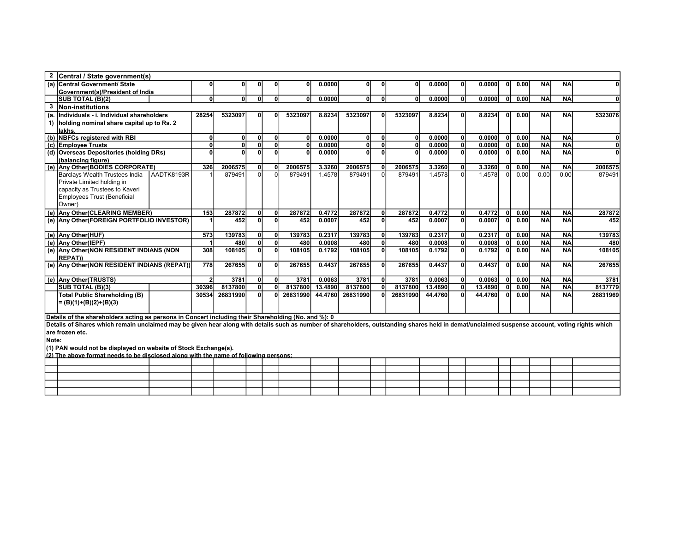| $\mathbf{2}$ | Central / State government(s)                                                                                                                                                                  |                |          |    |              |              |         |              |          |         |              |         |              |      |           |           |          |
|--------------|------------------------------------------------------------------------------------------------------------------------------------------------------------------------------------------------|----------------|----------|----|--------------|--------------|---------|--------------|----------|---------|--------------|---------|--------------|------|-----------|-----------|----------|
|              | (a) Central Government/ State                                                                                                                                                                  | 0              |          |    |              |              | 0.0000  |              |          | 0.0000  | 0            | 0.0000  | 01           | 0.00 | <b>NA</b> | <b>NA</b> |          |
|              | Government(s)/President of India                                                                                                                                                               |                |          |    |              |              |         |              |          |         |              |         |              |      |           |           |          |
|              | SUB TOTAL (B)(2)                                                                                                                                                                               | $\mathbf{0}$   | $\Omega$ | ΩI | n            | $\mathbf{0}$ | 0.0000  | $\mathbf{0}$ | 0        | 0.0000  | <sup>0</sup> | 0.0000  | 0            | 0.00 | <b>NA</b> | <b>NA</b> |          |
| 3            | Non-institutions                                                                                                                                                                               |                |          |    |              |              |         |              |          |         |              |         |              |      |           |           |          |
|              | (a. Individuals - i. Individual shareholders                                                                                                                                                   | 28254          | 5323097  |    |              | 5323097      | 8.8234  | 5323097      | 5323097  | 8.8234  | U            | 8.8234  | 01           | 0.00 | <b>NA</b> | <b>NA</b> | 5323076  |
|              | 1) holding nominal share capital up to Rs. 2                                                                                                                                                   |                |          |    |              |              |         |              |          |         |              |         |              |      |           |           |          |
|              | <b>lakhs</b>                                                                                                                                                                                   |                |          |    |              |              |         |              |          |         |              |         |              |      |           |           |          |
| (b)          | <b>NBFCs registered with RBI</b>                                                                                                                                                               | $\Omega$       | 0        | 0l | $\mathbf{0}$ | 0l           | 0.0000  | U            | 0l       | 0.0000  | $\mathbf{0}$ | 0.0000  | Οl           | 0.00 | <b>NA</b> | <b>NA</b> |          |
|              | (c) Employee Trusts                                                                                                                                                                            | $\mathbf{0}$   | O        | 0l |              |              | 0.0000  |              | 0        | 0.0000  | $\mathbf{0}$ | 0.0000  | 0            | 0.00 | <b>NA</b> | <b>NA</b> |          |
| (d)          | <b>Overseas Depositories (holding DRs)</b>                                                                                                                                                     | O              | n        | n١ |              |              | 0.0000  | U            | $\Omega$ | 0.0000  | <sub>0</sub> | 0.0000  | 0            | 0.00 | <b>NA</b> | <b>NA</b> |          |
|              | (balancing figure)                                                                                                                                                                             |                |          |    |              |              |         |              |          |         |              |         |              |      |           |           |          |
|              | (e) Any Other(BODIES CORPORATE)                                                                                                                                                                | 326            | 2006575  | ΩI |              | 2006575      | 3.3260  | 2006575      | 2006575  | 3.3260  | <sup>0</sup> | 3.3260  | 0            | 0.00 | <b>NA</b> | <b>NA</b> | 2006575  |
|              | AADTK8193R<br>Barclays Wealth Trustees India                                                                                                                                                   |                | 879491   | ΩI |              | 879491       | 1.4578  | 879491       | 879491   | 1.4578  | $\Omega$     | 1.4578  | $\Omega$     | 0.00 | 0.00      | 0.00      | 879491   |
|              | Private Limited holding in                                                                                                                                                                     |                |          |    |              |              |         |              |          |         |              |         |              |      |           |           |          |
|              | capacity as Trustees to Kaveri                                                                                                                                                                 |                |          |    |              |              |         |              |          |         |              |         |              |      |           |           |          |
|              | Employees Trust (Beneficial                                                                                                                                                                    |                |          |    |              |              |         |              |          |         |              |         |              |      |           |           |          |
|              | Owner)                                                                                                                                                                                         |                |          |    |              |              |         |              |          |         |              |         |              |      |           |           |          |
|              | (e) Any Other (CLEARING MEMBER)                                                                                                                                                                | 153            | 287872   | 0l |              | 287872       | 0.4772  | 287872       | 287872   | 0.4772  | <sup>0</sup> | 0.4772  | $\mathbf{0}$ | 0.00 | <b>NA</b> | <b>NA</b> | 287872   |
|              | (e) Any Other (FOREIGN PORTFOLIO INVESTOR)                                                                                                                                                     |                | 452      |    |              | 452          | 0.0007  | 452          | 452      | 0.0007  | <sup>0</sup> | 0.0007  | ٥l           | 0.00 | <b>NA</b> | <b>NA</b> | 452      |
|              |                                                                                                                                                                                                |                |          |    |              |              |         |              |          |         |              |         |              |      |           |           |          |
|              | (e) Any Other(HUF)                                                                                                                                                                             | 573            | 139783   | 0l | 0            | 139783       | 0.2317  | 139783       | 139783   | 0.2317  | <sub>0</sub> | 0.2317  | ٥I           | 0.00 | <b>NA</b> | <b>NA</b> | 139783   |
|              | (e) Any Other(IEPF)                                                                                                                                                                            |                | 480      | 0l | $\mathbf{0}$ | 480          | 0.0008  | 480          | 480      | 0.0008  | $\mathbf{0}$ | 0.0008  | Οl           | 0.00 | <b>NA</b> | <b>NA</b> | 480      |
|              | (e) Any Other (NON RESIDENT INDIANS (NON                                                                                                                                                       | 308            | 108105   | ΩI | n            | 108105       | 0.1792  | 108105       | 108105   | 0.1792  | $\mathbf{0}$ | 0.1792  | ΩI           | 0.00 | <b>NA</b> | <b>NA</b> | 108105   |
|              | <b>REPATI)</b>                                                                                                                                                                                 |                |          |    |              |              |         |              |          |         |              |         |              |      |           |           |          |
|              | (e) Any Other (NON RESIDENT INDIANS (REPAT))                                                                                                                                                   | 778            | 267655   | ΩI | n            | 267655       | 0.4437  | 267655       | 267655   | 0.4437  | <sub>0</sub> | 0.4437  | ΟI           | 0.00 | <b>NA</b> | <b>NA</b> | 267655   |
|              | (e) Any Other(TRUSTS)                                                                                                                                                                          | 2 <sup>1</sup> | 3781     | 0l | n            | 3781         | 0.0063  | 3781         | 3781     | 0.0063  | $\mathbf{0}$ | 0.0063  | 0            | 0.00 | <b>NA</b> | <b>NA</b> | 3781     |
|              | SUB TOTAL (B)(3)                                                                                                                                                                               | 30396          | 8137800  | 0l |              | 8137800      | 13.4890 | 8137800      | 8137800  | 13.4890 | <sup>0</sup> | 13.4890 | $\mathbf{0}$ | 0.00 | <b>NA</b> | <b>NA</b> | 8137779  |
|              | <b>Total Public Shareholding (B)</b>                                                                                                                                                           | 30534          | 26831990 | ΩI |              | 26831990     | 44.4760 | 26831990     | 26831990 | 44.4760 | 0            | 44.4760 | ٥l           | 0.00 | <b>NA</b> | <b>NA</b> | 26831969 |
|              |                                                                                                                                                                                                |                |          |    |              |              |         |              |          |         |              |         |              |      |           |           |          |
|              | $= (B)(1)+(B)(2)+(B)(3)$                                                                                                                                                                       |                |          |    |              |              |         |              |          |         |              |         |              |      |           |           |          |
|              | Details of the shareholders acting as persons in Concert including their Shareholding (No. and %): 0                                                                                           |                |          |    |              |              |         |              |          |         |              |         |              |      |           |           |          |
|              | Details of Shares which remain unclaimed may be given hear along with details such as number of shareholders, outstanding shares held in demat/unclaimed suspense account, voting rights which |                |          |    |              |              |         |              |          |         |              |         |              |      |           |           |          |
|              | lare frozen etc.                                                                                                                                                                               |                |          |    |              |              |         |              |          |         |              |         |              |      |           |           |          |

Note:

(1) PAN would not be displayed on website of Stock Exchange(s).

| $(2)$ The above format needs to be disclosed along with the name of following persons: |  |  |  |  |  |  |  |  |  |
|----------------------------------------------------------------------------------------|--|--|--|--|--|--|--|--|--|
|                                                                                        |  |  |  |  |  |  |  |  |  |
|                                                                                        |  |  |  |  |  |  |  |  |  |
|                                                                                        |  |  |  |  |  |  |  |  |  |
|                                                                                        |  |  |  |  |  |  |  |  |  |
|                                                                                        |  |  |  |  |  |  |  |  |  |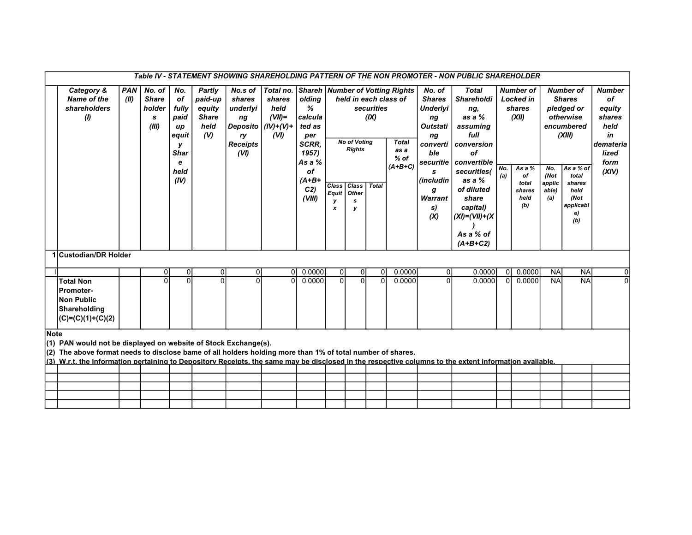|             |                                                                                                                                                        |            |                            |                            |                            |                       |                            |                  |                                  |                                  |                      |                                          |                            | Table IV - STATEMENT SHOWING SHAREHOLDING PATTERN OF THE NON PROMOTER - NON PUBLIC SHAREHOLDER |                    |                  |                        |                  |                          |
|-------------|--------------------------------------------------------------------------------------------------------------------------------------------------------|------------|----------------------------|----------------------------|----------------------------|-----------------------|----------------------------|------------------|----------------------------------|----------------------------------|----------------------|------------------------------------------|----------------------------|------------------------------------------------------------------------------------------------|--------------------|------------------|------------------------|------------------|--------------------------|
|             | Category &                                                                                                                                             | <b>PAN</b> | No. of                     | No.                        | Partly                     | No.s of               | Total no.                  |                  |                                  |                                  |                      | <b>Shareh   Number of Votting Rights</b> | No. of                     | <b>Total</b>                                                                                   |                    | <b>Number of</b> |                        | <b>Number of</b> | <b>Number</b>            |
|             | <b>Name of the</b>                                                                                                                                     | (III)      | <b>Share</b>               | of                         | paid-up                    | shares                | shares                     | olding           |                                  |                                  |                      | held in each class of                    | <b>Shares</b>              | <b>Shareholdi</b>                                                                              |                    | <b>Locked in</b> |                        | <b>Shares</b>    | of                       |
|             | shareholders                                                                                                                                           |            | holder                     | fully                      | equity                     | underlyi              | held                       | ℅                |                                  |                                  | securities           |                                          | Underlyi                   | ng,                                                                                            |                    | shares           |                        | pledged or       | equity                   |
|             | (1)                                                                                                                                                    |            | s                          | paid                       | <b>Share</b>               | ng                    | $(VII)$ =                  | calcula          |                                  |                                  | (IX)                 |                                          | nq                         | as a $%$                                                                                       |                    | (XII)            |                        | otherwise        | shares                   |
|             |                                                                                                                                                        |            | (III)                      | up                         | held                       | Deposito $ (IV)+(V)+$ |                            | ted as           |                                  |                                  |                      |                                          | <b>Outstati</b>            | assuming                                                                                       |                    |                  |                        | encumbered       | held                     |
|             |                                                                                                                                                        |            |                            | equit                      | (N)                        | ry                    | (VI)                       | per              |                                  |                                  |                      |                                          | ng                         | full                                                                                           |                    |                  |                        | (XIII)           | in                       |
|             |                                                                                                                                                        |            |                            | v                          |                            | <b>Receipts</b>       |                            | <b>SCRR.</b>     |                                  | <b>No of Voting</b>              |                      | <b>Total</b>                             | converti                   | conversion                                                                                     |                    |                  |                        |                  | demateria                |
|             |                                                                                                                                                        |            |                            | <b>Shar</b>                |                            | (VI)                  |                            | 1957)            |                                  | <b>Rights</b>                    |                      | as a                                     | ble                        | of                                                                                             |                    |                  |                        |                  | lized                    |
|             |                                                                                                                                                        |            |                            | e                          |                            |                       |                            | As a %           |                                  |                                  |                      | $%$ of                                   | securitie                  | convertible                                                                                    |                    |                  |                        |                  | form                     |
|             |                                                                                                                                                        |            |                            | held                       |                            |                       |                            | οf               |                                  |                                  |                      | $(A+B+C)$                                | s                          | securities(                                                                                    | No.                | As a $%$         | No.                    | As a % of        | (XIV)                    |
|             |                                                                                                                                                        |            |                            | (IV)                       |                            |                       |                            | $(A+B+$          |                                  |                                  |                      |                                          | (includin                  | as a $%$                                                                                       | (a)                | of<br>total      | (Not<br>applic         | total<br>shares  |                          |
|             |                                                                                                                                                        |            |                            |                            |                            |                       |                            | C <sub>2</sub>   | Class<br>Equit                   | Class<br>Other                   | <b>Total</b>         |                                          | a                          | of diluted                                                                                     |                    | shares           | able)                  | held             |                          |
|             |                                                                                                                                                        |            |                            |                            |                            |                       |                            | (VIII)           | y                                | s                                |                      |                                          | Warrant                    | share                                                                                          |                    | held             | (a)                    | (Not             |                          |
|             |                                                                                                                                                        |            |                            |                            |                            |                       |                            |                  | x                                | v                                |                      |                                          | s)                         | capital)                                                                                       |                    | (b)              |                        | applicabl        |                          |
|             |                                                                                                                                                        |            |                            |                            |                            |                       |                            |                  |                                  |                                  |                      |                                          | (X)                        | $(XI) = (VII) + (XI)$                                                                          |                    |                  |                        | e)<br>(b)        |                          |
|             |                                                                                                                                                        |            |                            |                            |                            |                       |                            |                  |                                  |                                  |                      |                                          |                            |                                                                                                |                    |                  |                        |                  |                          |
|             |                                                                                                                                                        |            |                            |                            |                            |                       |                            |                  |                                  |                                  |                      |                                          |                            | As a $%$ of                                                                                    |                    |                  |                        |                  |                          |
|             |                                                                                                                                                        |            |                            |                            |                            |                       |                            |                  |                                  |                                  |                      |                                          |                            | $(A+B+C2)$                                                                                     |                    |                  |                        |                  |                          |
|             | 1 Custodian/DR Holder                                                                                                                                  |            |                            |                            |                            |                       |                            |                  |                                  |                                  |                      |                                          |                            |                                                                                                |                    |                  |                        |                  |                          |
|             |                                                                                                                                                        |            |                            |                            |                            |                       |                            |                  |                                  |                                  |                      |                                          |                            |                                                                                                |                    |                  |                        |                  |                          |
|             |                                                                                                                                                        |            | $\overline{0}$<br>$\Omega$ | $\overline{0}$<br>$\Omega$ | $\overline{0}$<br>$\Omega$ | $\overline{0}$<br>U   | $\overline{0}$<br>$\Omega$ | 0.0000<br>0.0000 | $\overline{0}$<br>$\overline{0}$ | $\overline{0}$<br>$\overline{0}$ | 0 <br>$\overline{0}$ | 0.0000<br>0.0000                         | $\overline{0}$<br>$\Omega$ | 0.0000<br>0.0000                                                                               | 0 <br><sub>0</sub> | 0.0000<br>0.0000 | <b>NA</b><br><b>NA</b> | NA<br><b>NA</b>  | $\mathbf{0}$<br>$\Omega$ |
|             | <b>Total Non</b>                                                                                                                                       |            |                            |                            |                            |                       |                            |                  |                                  |                                  |                      |                                          |                            |                                                                                                |                    |                  |                        |                  |                          |
|             | <b>Promoter-</b>                                                                                                                                       |            |                            |                            |                            |                       |                            |                  |                                  |                                  |                      |                                          |                            |                                                                                                |                    |                  |                        |                  |                          |
|             | Non Public                                                                                                                                             |            |                            |                            |                            |                       |                            |                  |                                  |                                  |                      |                                          |                            |                                                                                                |                    |                  |                        |                  |                          |
|             | Shareholding                                                                                                                                           |            |                            |                            |                            |                       |                            |                  |                                  |                                  |                      |                                          |                            |                                                                                                |                    |                  |                        |                  |                          |
|             | $(C)=(C)(1)+(C)(2)$                                                                                                                                    |            |                            |                            |                            |                       |                            |                  |                                  |                                  |                      |                                          |                            |                                                                                                |                    |                  |                        |                  |                          |
| <b>Note</b> |                                                                                                                                                        |            |                            |                            |                            |                       |                            |                  |                                  |                                  |                      |                                          |                            |                                                                                                |                    |                  |                        |                  |                          |
|             | $(1)$ PAN would not be displayed on website of Stock Exchange(s).                                                                                      |            |                            |                            |                            |                       |                            |                  |                                  |                                  |                      |                                          |                            |                                                                                                |                    |                  |                        |                  |                          |
|             | $(2)$ The above format needs to disclose bame of all holders holding more than 1% of total number of shares.                                           |            |                            |                            |                            |                       |                            |                  |                                  |                                  |                      |                                          |                            |                                                                                                |                    |                  |                        |                  |                          |
|             | (3) W.r.t. the information pertaining to Depository Receipts, the same may be disclosed in the respective columns to the extent information available. |            |                            |                            |                            |                       |                            |                  |                                  |                                  |                      |                                          |                            |                                                                                                |                    |                  |                        |                  |                          |
|             |                                                                                                                                                        |            |                            |                            |                            |                       |                            |                  |                                  |                                  |                      |                                          |                            |                                                                                                |                    |                  |                        |                  |                          |
|             |                                                                                                                                                        |            |                            |                            |                            |                       |                            |                  |                                  |                                  |                      |                                          |                            |                                                                                                |                    |                  |                        |                  |                          |
|             |                                                                                                                                                        |            |                            |                            |                            |                       |                            |                  |                                  |                                  |                      |                                          |                            |                                                                                                |                    |                  |                        |                  |                          |
|             |                                                                                                                                                        |            |                            |                            |                            |                       |                            |                  |                                  |                                  |                      |                                          |                            |                                                                                                |                    |                  |                        |                  |                          |
|             |                                                                                                                                                        |            |                            |                            |                            |                       |                            |                  |                                  |                                  |                      |                                          |                            |                                                                                                |                    |                  |                        |                  |                          |